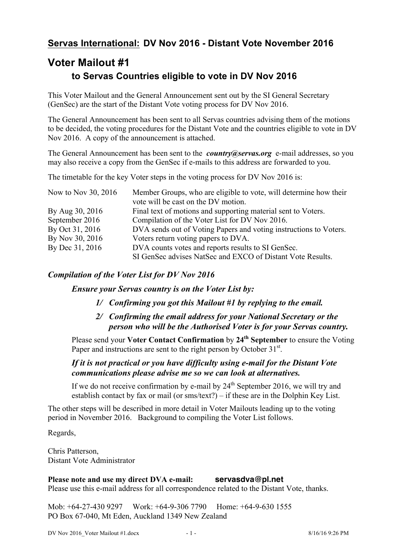## **Servas International: DV Nov 2016 - Distant Vote November 2016**

# **Voter Mailout #1 to Servas Countries eligible to vote in DV Nov 2016**

This Voter Mailout and the General Announcement sent out by the SI General Secretary (GenSec) are the start of the Distant Vote voting process for DV Nov 2016.

The General Announcement has been sent to all Servas countries advising them of the motions to be decided, the voting procedures for the Distant Vote and the countries eligible to vote in DV Nov 2016. A copy of the announcement is attached.

The General Announcement has been sent to the *country@servas.org* e-mail addresses, so you may also receive a copy from the GenSec if e-mails to this address are forwarded to you.

The timetable for the key Voter steps in the voting process for DV Nov 2016 is:

| Now to Nov 30, 2016 | Member Groups, who are eligible to vote, will determine how their<br>vote will be cast on the DV motion. |
|---------------------|----------------------------------------------------------------------------------------------------------|
| By Aug 30, 2016     | Final text of motions and supporting material sent to Voters.                                            |
| September 2016      | Compilation of the Voter List for DV Nov 2016.                                                           |
| By Oct 31, 2016     | DVA sends out of Voting Papers and voting instructions to Voters.                                        |
| By Nov 30, 2016     | Voters return voting papers to DVA.                                                                      |
| By Dec 31, 2016     | DVA counts votes and reports results to SI GenSec.                                                       |
|                     | SI GenSec advises NatSec and EXCO of Distant Vote Results.                                               |

### *Compilation of the Voter List for DV Nov 2016*

*Ensure your Servas country is on the Voter List by:*

- *1/ Confirming you got this Mailout #1 by replying to the email.*
- *2/ Confirming the email address for your National Secretary or the person who will be the Authorised Voter is for your Servas country.*

Please send your **Voter Contact Confirmation** by **24th September** to ensure the Voting Paper and instructions are sent to the right person by October  $31<sup>st</sup>$ .

### *If it is not practical or you have difficulty using e-mail for the Distant Vote communications please advise me so we can look at alternatives.*

If we do not receive confirmation by e-mail by  $24<sup>th</sup>$  September 2016, we will try and establish contact by fax or mail (or  $sms/text$ ?) – if these are in the Dolphin Key List.

The other steps will be described in more detail in Voter Mailouts leading up to the voting period in November 2016. Background to compiling the Voter List follows.

Regards,

Chris Patterson, Distant Vote Administrator

**Please note and use my direct DVA e-mail: servasdva@pl.net** Please use this e-mail address for all correspondence related to the Distant Vote, thanks.

Mob: +64-27-430 9297 Work: +64-9-306 7790 Home: +64-9-630 1555 PO Box 67-040, Mt Eden, Auckland 1349 New Zealand